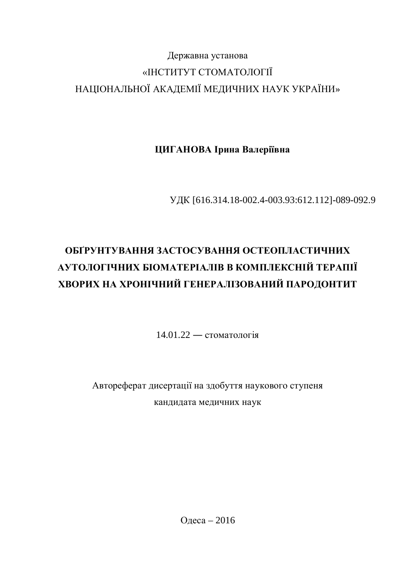# Державна установа «ІНСТИТУТ СТОМАТОЛОГІЇ НАЦІОНАЛЬНОЇ АКАДЕМІЇ МЕДИЧНИХ НАУК УКРАЇНИ»

ЦИГАНОВА Ірина Валеріївна

ɍȾɄ [616.314.18-002.4-003.93:612.112]-089-092.9

# **ɈȻʈɊɍɇɌɍȼȺɇɇəɁȺɋɌɈɋɍȼȺɇɇəɈɋɌȿɈɉɅȺɋɌɂɑɇɂɏ ȺɍɌɈɅɈȽȱɑɇɂɏȻȱɈɆȺɌȿɊȱȺɅȱȼȼɄɈɆɉɅȿɄɋɇȱɃɌȿɊȺɉȱȲ** ХВОРИХ НА ХРОНІЧНИЙ ГЕНЕРАЛІЗОВАНИЙ ПАРОДОНТИТ

 $14.01.22 -$  стоматологія

Автореферат дисертації на здобуття наукового ступеня кандидата медичних наук

Одеса – 2016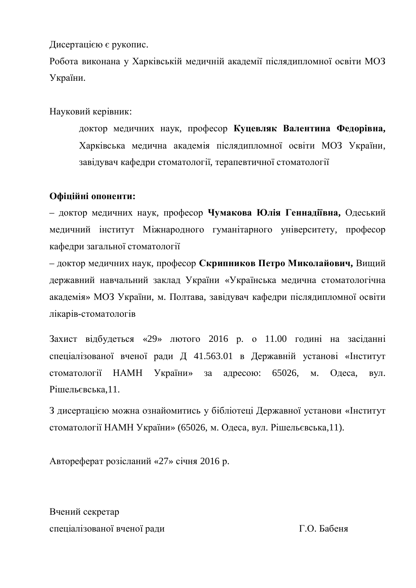Дисертацією є рукопис.

Робота виконана у Харківській медичній академії післядипломної освіти МОЗ України.

Науковий керівник:

доктор медичних наук, професор Куцевляк Валентина Федорівна, Харківська медична академія післядипломної освіти МОЗ України, завідувач кафедри стоматології, терапевтичної стоматології

### Офіційні опоненти:

– доктор медичних наук, професор Чумакова Юлія Геннадіївна, Одеський медичний інститут Міжнародного гуманітарного університету, професор кафедри загальної стоматології

– доктор медичних наук, професор Скрипников Петро Миколайович, Вищий державний навчальний заклад України «Українська медична стоматологічна академія» МОЗ України, м. Полтава, завідувач кафедри післядипломної освіти лікарів-стоматологів

Захист відбудеться «29» лютого 2016 р. о 11.00 годині на засіданні спеціалізованої вченої ради Д 41.563.01 в Державній установі «Інститут стоматології НАМН України» за адресою: 65026, м. Одеса, вул. Рішельєвська,11.

З лисертацією можна ознайомитись у бібліотеці Державної установи «Інститут стоматології НАМН України» (65026, м. Одеса, вул. Рішельєвська,11).

Автореферат розісланий «27» січня 2016 р.

Вчений секретар спеціалізованої вченої ради П.О. Бабеня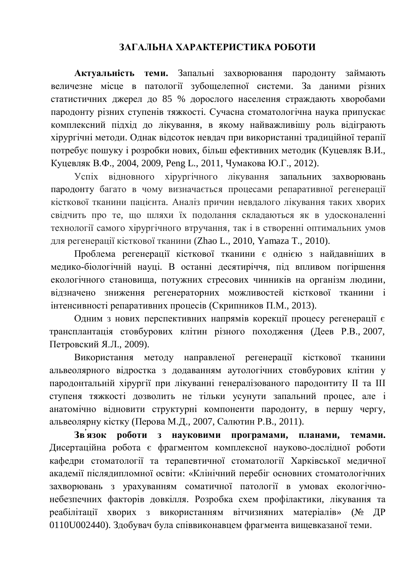### ЗАГАЛЬНА ХАРАКТЕРИСТИКА РОБОТИ

Актуальність теми. Запальні захворювання пародонту займають величезне місце в патології зубощелепної системи. За даними різних статистичних джерел до 85 % дорослого населення страждають хворобами пародонту різних ступенів тяжкості. Сучасна стоматологічна наука припускає комплексний підхід до лікування, в якому найважливішу роль відіграють хірургічні методи. Однак відсоток невдач при використанні традиційної терапії потребує пошуку і розробки нових, більш ефективних метолик (Куцевляк В.И., Куцевляк В.Ф., 2004, 2009, Peng L., 2011, Чумакова Ю.Г., 2012).

Успіх відновного хірургічного лікування запальних захворювань пародонту багато в чому визначається процесами репаративної регенерації кісткової тканини пацієнта. Аналіз причин невдалого лікування таких хворих свідчить про те, що шляхи їх подолання складаються як в удосконаленні технології самого хірургічного втручання, так і в створенні оптимальних умов ɞɥɹɪɟɝɟɧɟɪɚɰɿʀɤɿɫɬɤɨɜɨʀɬɤɚɧɢɧɢ (Zhao L., 2010, Yamaza T., 2010).

Проблема регенерації кісткової тканини є однією з найдавніших в медико-біологічній науці. В останні десятиріччя, під впливом погіршення екологічного становиша, потужних стресових чинників на організм людини, відзначено зниження регенераторних можливостей кісткової тканини і інтенсивності репаративних процесів (Скрипников П.М., 2013).

Одним з нових перспективних напрямів корекції процесу регенерації є трансплантація стовбурових клітин різного походження (Деев Р.В., 2007, Петровский Я.Л., 2009).

Використання методу направленої регенерації кісткової тканини альвеолярного відростка з додаванням аутологічних стовбурових клітин у пародонтальній хірургії при лікуванні генералізованого пародонтиту II та III ступеня тяжкості дозволить не тільки усунути запальний процес, але і анатомічно відновити структурні компоненти пародонту, в першу чергу, альвеолярну кістку (Перова М.Д., 2007, Салютин Р.В., 2011).

**Зв'язок роботи з науковими програмами, планами, темами.** Дисертаційна робота є фрагментом комплексної науково-дослідної роботи кафедри стоматології та терапевтичної стоматології Харківської медичної академії післядипломної освіти: «Клінічний перебіг основних стоматологічних захворювань з урахуванням соматичної патології в умовах екологічнонебезпечних факторів довкілля. Розробка схем профілактики, лікування та реабілітації хворих з використанням вітчизняних матеріалів» (№ ДР 0110U002440). Здобувач була співвиконавцем фрагмента вищевказаної теми.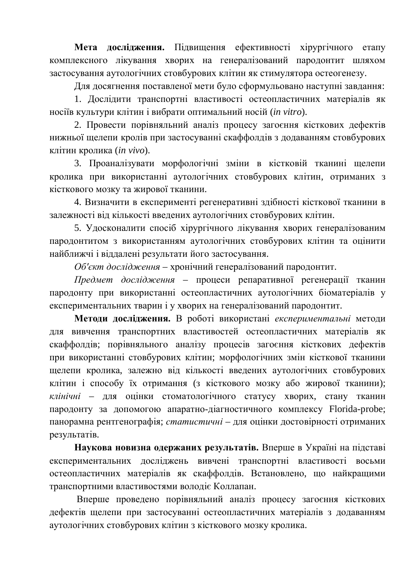Мета дослідження. Підвищення ефективності хірургічного етапу комплексного лікування хворих на генералізований пародонтит шляхом застосування аутологічних стовбурових клітин як стимулятора остеогенезу.

Для досягнення поставленої мети було сформульовано наступні завдання:

1. Дослідити транспортні властивості остеопластичних матеріалів як носіїв культури клітин і вибрати оптимальний носій (*in vitro*).

2. Провести порівняльний аналіз процесу загоєння кісткових дефектів нижньої щелепи кролів при застосуванні скаффолдів з додаванням стовбурових ɤɥɿɬɢɧɤɪɨɥɢɤɚ (*in vivo*).

3. Проаналізувати морфологічні зміни в кістковій тканині щелепи кролика при використанні аутологічних стовбурових клітин, отриманих з кісткового мозку та жирової тканини.

4. Визначити в експерименті регенеративні здібності кісткової тканини в залежності від кількості введених аутологічних стовбурових клітин.

5. Удосконалити спосіб хірургічного лікування хворих генералізованим пародонтитом з використанням аутологічних стовбурових клітин та оцінити найближчі і віддалені результати його застосування.

Об'єкт дослідження - хронічний генералізований пародонтит.

*Предмет дослідження* – процеси репаративної регенерації тканин пародонту при використанні остеопластичних аутологічних біоматеріалів у експериментальних тварин і у хворих на генералізований пародонтит.

Методи дослідження. В роботі використані *експериментальні* методи для вивчення транспортних властивостей остеопластичних матеріалів як скаффолдів; порівняльного аналізу процесів загоєння кісткових дефектів при використанні стовбурових клітин; морфологічних змін кісткової тканини щелепи кролика, залежно від кількості введених аутологічних стовбурових клітин і способу їх отримання (з кісткового мозку або жирової тканини); клінічні - для оцінки стоматологічного статусу хворих, стану тканин пародонту за допомогою апаратно-діагностичного комплексу Florida-probe; панорамна рентгенографія; *статистичні* – для оцінки достовірності отриманих результатів.

Наукова новизна одержаних результатів. Вперше в Україні на підставі експериментальних досліджень вивчені транспортні властивості восьми остеопластичних матеріалів як скаффолдів. Встановлено, що найкращими транспортними властивостями володіє Коллапан.

Вперше проведено порівняльний аналіз процесу загоєння кісткових дефектів щелепи при застосуванні остеопластичних матеріалів з додаванням аутологічних стовбурових клітин з кісткового мозку кролика.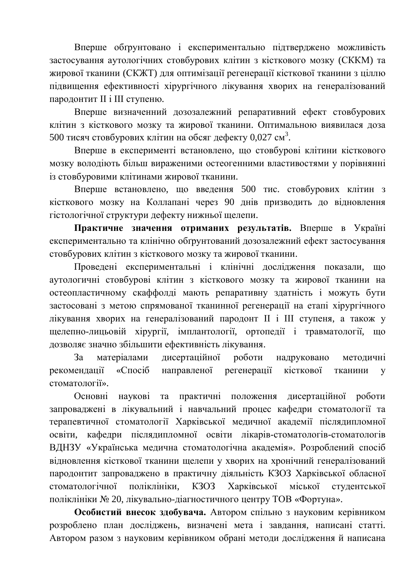Вперше обтрунтовано і експериментально підтверджено можливість застосування аутологічних стовбурових клітин з кісткового мозку (СККМ) та жирової тканини (СКЖТ) для оптимізації регенерації кісткової тканини з ціллю підвищення ефективності хірургічного лікування хворих на генералізований пародонтит II і III ступеню.

Вперше визначенний дозозалежний репаративний ефект стовбурових клітин з кісткового мозку та жирової тканини. Оптимальною виявилася доза 500 тисяч стовбурових клітин на обсяг дефекту 0,027 см<sup>3</sup>.

Вперше в експерименті встановлено, що стовбурові клітини кісткового мозку володіють більш вираженими остеогенними властивостями у порівнянні із стовбуровими клітинами жирової тканини.

Вперше встановлено, що введення 500 тис. стовбурових клітин з кісткового мозку на Коллапані через 90 днів призводить до відновлення гістологічної структури дефекту нижньої щелепи.

Практичне значення отриманих результатів. Вперше в Україні експериментально та клінічно обґрунтований дозозалежний ефект застосування стовбурових клітин з кісткового мозку та жирової тканини.

Проведені експериментальні і клінічні дослідження показали, що аутологичні стовбурові клітин з кісткового мозку та жирової тканини на остеопластичному скаффолді мають репаративну здатність і можуть бути застосовані з метою спрямованої тканинної регенерації на етапі хірургічного лікування хворих на генералізований пародонт II і III ступеня, а також у щелепно-лицьовій хірургії, імплантології, ортопедії і травматології, що дозволяє значно збільшити ефективність лікування.

За матеріалами дисертаційної роботи надруковано методичні рекомендації «Спосіб направленої регенерації кісткової тканини у стоматології».

Основні наукові та практичні положення дисертаційної роботи запроваджені в лікувальний і навчальний процес кафедри стоматології та терапевтичної стоматології Харківської медичної академії післядипломної освіти, кафедри післядипломної освіти лікарів-стоматологів-стоматологів ВДНЗУ «Українська медична стоматологічна академія». Розроблений спосіб відновлення кісткової тканини щелепи у хворих на хронічний генералізований пародонтит запроваджено в практичну діяльність КЗОЗ Харківської обласної стоматологічної поліклініки, КЗОЗ Харківської міської студентської поліклініки № 20, лікувально-діагностичного центру ТОВ «Фортуна».

Особистий внесок здобувача. Автором спільно з науковим керівником розроблено план досліджень, визначені мета і завдання, написані статті. Автором разом з науковим керівником обрані методи дослідження й написана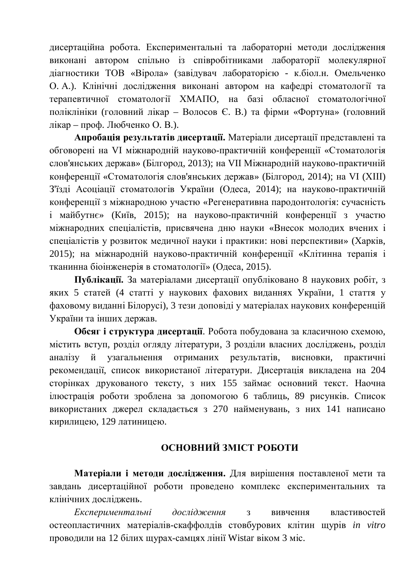дисертаційна робота. Експериментальні та лабораторні методи дослідження виконані автором спільно із співробітниками лабораторії молекулярної діагностики ТОВ «Вірола» (завідувач лабораторією - к.біол.н. Омельченко О. А.). Клінічні дослідження виконані автором на кафедрі стоматології та терапевтичної стоматології ХМАПО, на базі обласної стоматологічної поліклініки (головний лікар – Волосов Є. В.) та фірми «Фортуна» (головний лікар – проф. Любченко О. В.).

**Апробація результатів дисертації.** Матеріали дисертації представлені та обговорені на VI міжнародній науково-практичній конференції «Стоматологія слов'янських держав» (Білгород, 2013); на VII Міжнародній науково-практичній конференції «Стоматологія слов'янських держав» (Білгород, 2014); на VI (XIII) З'їзді Асоціації стоматологів України (Одеса, 2014); на науково-практичній конференції з міжнародною участю «Регенеративна пародонтологія: сучасність і майбутнє» (Київ, 2015); на науково-практичній конференції з участю міжнародних спеціалістів, присвячена дню науки «Внесок молодих вчених і спеціалістів у розвиток медичної науки і практики: нові перспективи» (Харків, 2015); на міжнародній науково-практичній конференції «Клітинна терапія і тканинна біоінженерія в стоматології» (Одеса, 2015).

**Публікації.** За матеріалами лисертації опубліковано 8 наукових робіт, з яких 5 статей (4 статті у наукових фахових виданнях України, 1 стаття у фаховому виданні Білорусі), 3 тези доповіді у матеріалах наукових конференцій України та інших держав.

**Обсяг і структура дисертації**. Робота побудована за класичною схемою, містить вступ, розділ огляду літератури, 3 розділи власних досліджень, розділ аналізу й узагальнення отриманих результатів, висновки, практичні рекомендації, список використаної літератури. Дисертація викладена на 204 сторінках друкованого тексту, з них 155 займає основний текст. Наочна инострация роботи зроблена за допомогою 6 таблиць, 89 рисунків. Список використаних джерел складається з 270 найменувань, з них 141 написано кирилицею, 129 латиницею.

## **ОСНОВНИЙ ЗМІСТ РОБОТИ**

Матеріали і методи дослідження. Для вирішення поставленої мети та завдань дисертаційної роботи проведено комплекс експериментальних та клінічних досліджень.

*Експериментальні дослідження* з вивчення властивостей **остеопластичних матеріалів-скаффолдів стовбурових клітин щурів in vitro** проводили на 12 білих щурах-самцях лінії Wistar віком 3 міс.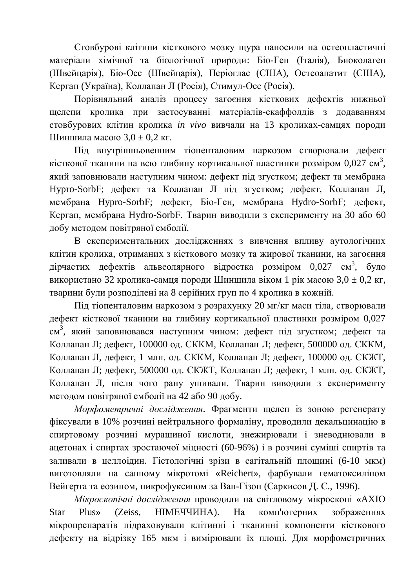Стовбурові клітини кісткового мозку щура наносили на остеопластичні матеріали хімічної та біологічної природи: Біо-Ген (Італія), Биоколаген (Швейцарія), Біо-Осс (Швейцарія), Періоглас (США), Остеоапатит (США), Кергап (Україна), Коллапан Л (Росія), Стимул-Осс (Росія).

Порівняльний аналіз процесу загоєння кісткових дефектів нижньої щелепи кролика при застосуванні матеріалів-скаффолдів з додаванням стовбурових клітин кролика *in vivo* вивчали на 13 кроликах-самцях породи Шиншила масою  $3.0 \pm 0.2$  кг.

Піл внутрішньовенним тіопенталовим наркозом створювали лефект кісткової тканини на всю глибину кортикальної пластинки розміром 0,027 см<sup>3</sup>, який заповнювали наступним чином: дефект під згустком; дефект та мембрана Hypro-SorbF; дефект та Коллапан Л під згустком; дефект, Коллапан Л, мембрана Hypro-SorbF; дефект, Біо-Ген, мембрана Hydro-SorbF; дефект, Кергап, мембрана Hydro-SorbF. Тварин виводили з експерименту на 30 або 60 добу методом повітряної емболії.

В експериментальних дослідженнях з вивчення впливу аутологічних клітин кролика, отриманих з кісткового мозку та жирової тканини, на загоєння дірчастих дефектів альвеолярного відростка розміром 0,027 см<sup>3</sup>, було використано 32 кролика-самця породи Шиншила віком 1 рік масою 3,0  $\pm$  0,2 кг, тварини були розподілені на 8 серійних груп по 4 кролика в кожній.

Під тіопенталовим наркозом з розрахунку 20 мг/кг маси тіла, створювали дефект кісткової тканини на глибину кортикальної пластинки розміром 0,027 см<sup>3</sup>, який заповнювався наступним чином: дефект під згустком; дефект та Коллапан Л; дефект, 100000 од. СККМ, Коллапан Л; дефект, 500000 од. СККМ, Коллапан Л, дефект, 1 млн. од. СККМ, Коллапан Л; дефект, 100000 од. СКЖТ, Коллапан Л; дефект, 500000 од. СКЖТ, Коллапан Л; дефект, 1 млн. од. СКЖТ, Коллапан Л, після чого рану ушивали. Тварин виводили з експерименту методом повітряної емболії на 42 або 90 добу.

*Морфометричні дослідження*. Фрагменти щелеп із зоною регенерату фіксували в 10% розчині нейтрального формаліну, проводили декальцинацію в спиртовому розчині мурашиної кислоти, знежирювали і зневоднювали в ацетонах і спиртах зростаючої міцності (60-96%) і в розчині суміші спиртів та заливали в целлоідин. Гістологічні зрізи в сагітальній площині (6-10 мкм) виготовляли на санному мікротомі «Reichert», фарбували гематоксиліном Вейгерта та еозином, пикрофуксином за Ван-Гізон (Саркисов Д. С., 1996).

Мікроскопічні дослідження проводили на світловому мікроскопі «АХІО Star Plus» (Zeiss, НІМЕЧЧИНА). На комп'ютерних зображеннях мікропрепаратів підраховували клітинні і тканинні компоненти кісткового дефекту на відрізку 165 мкм і вимірювали їх площі. Для морфометричних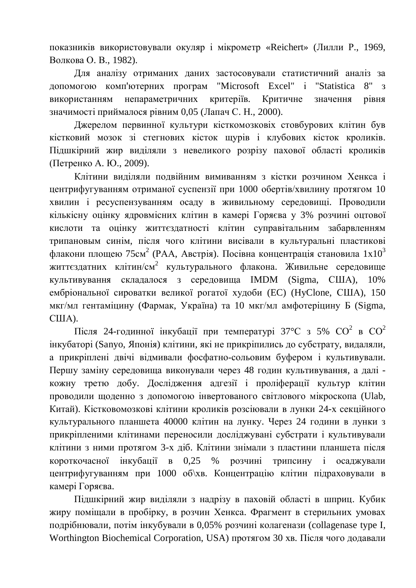показників використовували окуляр і мікрометр «Reichert» (Лилли Р., 1969, Волкова О. В., 1982).

Для аналізу отриманих даних застосовували статистичний аналіз за допомогою комп'ютерних програм "Microsoft Excel" i "Statistica 8" з використанням непараметричних критеріїв. Критичне значення рівня значимості приймалося рівним 0,05 (Лапач С. Н., 2000).

Джерелом первинної культури кісткомозковіх стовбурових клітин був кістковий мозок зі стегнових кісток щурів і клубових кісток кроликів. Підшкірний жир виділяли з невеликого розрізу пахової області кроликів (Петренко А. Ю., 2009).

Клітини виділяли подвійним вимиванням з кістки розчином Хенкса і центрифугуванням отриманої суспензії при 1000 обертів/хвилину протягом 10 хвилин і ресуспензуванням осаду в живильному середовищі. Проводили кількісну оцінку ядровмісних клітин в камері Горяєва у 3% розчині оцтової кислоти та оцінку життєздатності клітин суправітальним забарвленням трипановым синім, після чого клітини висівали в культуральні пластикові флакони площею 75см<sup>2</sup> (РАА, Австрія). Посівна концентрація становила 1x10<sup>3</sup> життєздатних клітин/см<sup>2</sup> культурального флакона. Живильне середовище культивування склалалося з середовища IMDM (Sigma, США),  $10\%$ ембріональної сироватки великої рогатої худоби (EC) (HyClone, США), 150 мкг/мл гентаміцину (Фармак, Україна) та 10 мкг/мл амфотеріцину Б (Sigma, CIIIA).

Після 24-годинної інкубації при температурі 37°С з 5%  $CO^2$  в  $CO^2$ інкубаторі (Sanyo, Японія) клітини, які не прикріпились до субстрату, видаляли, а прикріплені лвічі вілмивали фосфатно-сольовим буфером і культивували. Першу заміну середовища виконували через 48 годин культивування, а далі кожну третю добу. Дослідження адгезії і проліферації культур клітин проводили щоденно з допомогою інвертованого світлового мікроскопа (Ulab, Китай). Кістковомозкові клітини кроликів розсіювали в лунки 24-х секційного культурального планшета 40000 клітин на лунку. Через 24 години в лунки з прикріпленими клітинами переносили досліджувані субстрати і культивували клітини з ними протягом 3-х діб. Клітини знімали з пластини планшета після короткочасної інкубації в 0,25 % розчині трипсину і осаджували центрифугуванням при 1000 об\хв. Концентрацію клітин підраховували в камері Горяєва.

Підшкірний жир виділяли з надрізу в паховій області в шприц. Кубик жиру поміщали в пробірку, в розчин Хенкса. Фрагмент в стерильних умовах подрібнювали, потім інкубували в 0,05% розчині колагенази (collagenase type I, Worthington Biochemical Corporation, USA) протягом 30 хв. Після чого додавали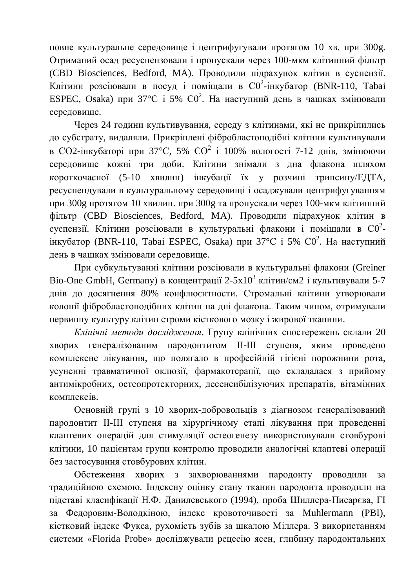повне культуральне середовище і центрифугували протягом 10 хв. при 300g. Отриманий осад ресуспензовали і пропускали через 100-мкм клітинний фільтр (CBD Biosciences, Bedford, MA). Проводили підрахунок клітин в суспензії. Клітини розсіювали в посуд і поміщали в  $CO^2$ -інкубатор (BNR-110, Tabai ESPEC, Osaka) при 37°С і 5%  $CO^2$ . На наступний день в чашках змінювали середовище.

Через 24 години культивування, середу з клітинами, які не прикріпились до субстрату, видаляли. Прикріплені фібробластоподібні клітини культивували в СО2-інкубаторі при 37°С, 5% СО<sup>2</sup> і 100% вологості 7-12 днів, змінюючи середовище кожні три доби. Клітини знімали з дна флакона шляхом короткочасної (5-10 хвилин) інкубації їх у розчині трипсину/ЕДТА, ресуспендували в культуральному середовищі і осаджували центрифугуванням при 300g протягом 10 хвилин. при 300g та пропускали через 100-мкм клітинний фільтр (CBD Biosciences, Bedford, MA). Проводили підрахунок клітин в суспензії. Клітини розсіювали в культуральні флакони і поміщали в  $CO^2$ iнкубатор (BNR-110, Tabai ESPEC, Osaka) при 37°С і 5% С0<sup>2</sup>. На наступний день в чашках змінювали середовище.

При субкультуванні клітини розсіювали в культуральні флакони (Greiner Bio-One GmbH, Germany) в концентрації 2-5х10<sup>3</sup> клітин/см2 і культивували 5-7 днів до досягнення 80% конфлюєнтности. Стромальні клітини утворювали колонії фібробластоподібних клітин на дні флакона. Таким чином, отримували первинну культуру клітин строми кісткового мозку і жирової тканини.

Клінічні методи дослідження. Групу клінічних спостережень склали 20 хворих генералізованим пародонтитом II-III ступеня, яким проведено комплексне лікування, що полягало в професійній гігієні порожнини рота, үсүненні травматичної оклюзії, фармакотерапії, що складалася з прийому антимікробних, остеопротекторних, десенсибілізуючих препаратів, вітамінних комплексів.

Основній групі з 10 хворих-добровольців з діагнозом генералізований пародонтит II-III ступеня на хірургічному етапі лікування при проведенні клаптевих операцій для стимуляції остеогенезу використовували стовбурові клітини, 10 пацієнтам групи контролю проводили аналогічні клаптеві операції без застосування стовбурових клітин.

Обстеження хворих з захворюваннями пародонту проводили за традиційною схемою. Індексну оцінку стану тканин пародонта проводили на підставі класифікації Н.Ф. Данилевського (1994), проба Шиллера-Писарєва, ГІ за Федоровим-Володкіною, індекс кровоточивості за Muhlermann (PBI), кістковий індекс Фукса, рухомість зубів за шкалою Міллера. З використанням системи «Florida Probe» досліджували рецесію ясен, глибину пародонтальних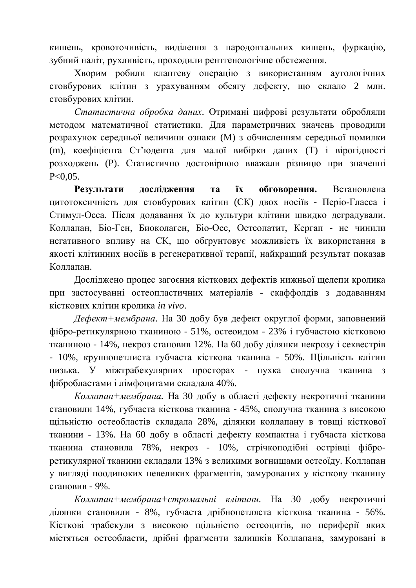кишень, кровоточивість, виділення з пародонтальних кишень, фуркацію, зубний наліт, рухливість, проходили рентгенологічне обстеження.

Хворим робили клаптеву операцію з використанням аутологічних стовбурових клітин з урахуванням обсягу дефекту, що склало 2 млн. стовбурових клітин.

Статистична обробка даних. Отримані цифрові результати обробляли методом математичної статистики. Для параметричних значень проводили розрахунок середньої величини ознаки (М) з обчисленням середньої помилки (m), коефіцієнта Ст'юлента для малої вибірки даних (Т) і вірогідності розходжень (Р). Статистично достовірною вважали різницю при значенні  $P < 0.05$ .

Результати дослідження та їх обговорення. Встановлена цитотоксичність для стовбурових клітин (СК) двох носіїв - Періо-Гласса і Стимул-Осса. Після додавання їх до культури клітини швидко деградували. Коллапан, Біо-Ген, Биоколаген, Біо-Осс, Остеопатит, Кергап - не чинили негативного впливу на СК, що обгрунтовує можливість їх використання в якості клітинних носіїв в регенеративної терапії, найкращий результат показав Коллапан.

Дослілжено процес загоєння кісткових лефектів нижньої шелепи кролика при застосуванні остеопластичних матеріалів - скаффолдів з додаванням кісткових клітин кролика *in vivo*.

Дефект+мембрана. На 30 добу був дефект округлої форми, заповнений фібро-ретикулярною тканиною - 51%, остеоидом - 23% і губчастою кістковою тканиною - 14%, некроз становив 12%. На 60 добу ділянки некрозу і секвестрів - 10%, крупнопетлиста губчаста кісткова тканина - 50%. Щільність клітин низька. У міжтрабекулярних просторах - пухка сполучна тканина з фібробластами і лімфоцитами складала 40%.

Коллапан+мембрана. На 30 добу в області дефекту некротичні тканини становили 14%, губчаста кісткова тканина - 45%, сполучна тканина з високою щільністю остеобластів складала 28%, ділянки коллапану в товщі кісткової тканини - 13%. На 60 добу в області дефекту компактна і губчаста кісткова тканина становила 78%, некроз - 10%, стрічкоподібні острівці фіброретикулярної тканини складали 13% з великими вогнищами остеоїду. Коллапан у вигляді поодиноких невеликих фрагментів, замурованих у кісткову тканину становив - 9%.

Коллапан+мембрана+стромальні клітини. На 30 добу некротичні ділянки становили - 8%, губчаста дрібнопетляста кісткова тканина - 56%. Кісткові трабекули з високою щільністю остеоцитів, по периферії яких містяться остеобласти, дрібні фрагменти залишків Коллапана, замуровані в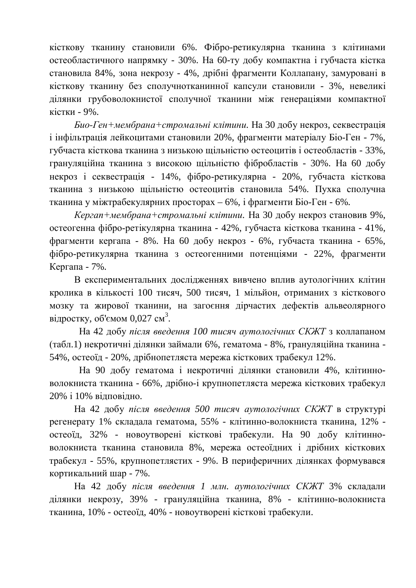кісткову тканину становили 6%. Фібро-ретикулярна тканина з клітинами остеобластичного напрямку - 30%. На 60-ту добу компактна і губчаста кістка становила 84%, зона некрозу - 4%, дрібні фрагменти Коллапану, замуровані в кісткову тканину без сполучнотканинної капсули становили - 3%, невеликі ділянки грубоволокнистої сполучної тканини між генераціями компактної кістки - 9%.

*Био-Ген+мембрана+стромальні клітини*. На 30 добу некроз, секвестрація і інфільтрація лейкоцитами становили 20%, фрагменти матеріалу Біо-Ген - 7%, губчаста кісткова тканина з низькою шільністю остеоцитів і остеобластів - 33%, грануляційна тканина з високою щільністю фібробластів - 30%. На 60 добу некроз і секвестрація - 14%, фібро-ретикулярна - 20%, губчаста кісткова тканина з низькою щільністю остеоцитів становила 54%. Пухка сполучна тканина у міжтрабекулярних просторах – 6%, і фрагменти Біо-Ген - 6%.

*Кергап+мембрана+стромальні клітини*. На 30 добу некроз становив 9%, остеогенна фібро-ретікулярна тканина - 42%, губчаста кісткова тканина - 41%, фрагменти кергапа - 8%. На 60 добу некроз - 6%, губчаста тканина - 65%, фібро-ретикулярна тканина з остеогенними потенціями - 22%, фрагменти Кергапа -  $7\%$ .

В експериментальних лослілженнях вивчено вплив аутологічних клітин кролика в кількості 100 тисяч, 500 тисяч, 1 мільйон, отриманих з кісткового мозку та жирової тканини, на загоєння дірчастих дефектів альвеолярного відростку, об'ємом 0,027 см<sup>3</sup>.

На 42 добу після введення 100 тисяч аутологічних СКЖТ з коллапаном (табл.1) некротичні ділянки займали 6%, гематома - 8%, грануляційна тканина -54%, остеоїд - 20%, дрібнопетляста мережа кісткових трабекул 12%.

На 90 добу гематома і некротичні ділянки становили 4%, клітинноволокниста тканина - 66%, дрібно-і крупнопетляста мережа кісткових трабекул 20% і 10% відповідно.

На 42 добу після введення 500 тисяч аутологічних СКЖТ в структурі регенерату 1% складала гематома, 55% - клітинно-волокниста тканина, 12% остеоїд, 32% - новоутворені кісткові трабекули. На 90 добу клітинноволокниста тканина становила 8%, мережа остеоїдних і дрібних кісткових трабекул - 55%, крупнопетлястих - 9%. В периферичних ділянках формувався кортикальний шар - 7%.

На 42 добу після введення 1 млн. аутологічних СКЖТ 3% складали ділянки некрозу, 39% - грануляційна тканина, 8% - клітинно-волокниста тканина, 10% - остеоїд, 40% - новоутворені кісткові трабекули.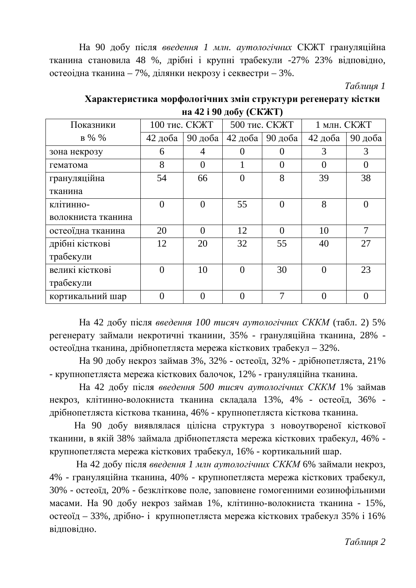На 90 добу після введення 1 млн. аутологічних СКЖТ грануляційна тканина становила 48 %, дрібні і крупні трабекули -27% 23% відповідно, остеоілна тканина – 7%, лілянки некрозу і секвестри – 3%.

*Таблиця 1* 

| $\mathbf{m}$ is $\mathbf{r}$ and $\mathbf{r}$ (cross $\mathbf{r}$ ) |               |                |               |                |              |          |  |
|---------------------------------------------------------------------|---------------|----------------|---------------|----------------|--------------|----------|--|
| Показники                                                           | 100 тис. СКЖТ |                | 500 тис. СКЖТ |                | 1 млн. СКЖТ  |          |  |
| $B\%$ %                                                             | $42 \mu$ оба  | 90 доба        | 42 доба $ $   | 90 доба        | $42 \mu$ оба | 90 доба  |  |
| зона некрозу                                                        | 6             | $\overline{4}$ | $\theta$      | $\theta$       | 3            | 3        |  |
| гематома                                                            | 8             | $\overline{0}$ |               | $\overline{0}$ | $\theta$     | $\theta$ |  |
| грануляційна                                                        | 54            | 66             | 0             | 8              | 39           | 38       |  |
| тканина                                                             |               |                |               |                |              |          |  |
| КЛ1ТИННО-                                                           | $\theta$      | $\theta$       | 55            | $\theta$       | 8            | $\Omega$ |  |
| волокниста тканина                                                  |               |                |               |                |              |          |  |
| остеоїдна тканина                                                   | 20            | $\theta$       | 12            | $\Omega$       | 10           | 7        |  |
| дрібні кісткові                                                     | 12            | 20             | 32            | 55             | 40           | 27       |  |
| трабекули                                                           |               |                |               |                |              |          |  |
| великі кісткові                                                     | $\Omega$      | 10             | $\Omega$      | 30             | $\Omega$     | 23       |  |
| трабекули                                                           |               |                |               |                |              |          |  |
| кортикальний шар                                                    | ⋂             | 0              |               | 7              |              |          |  |

**Характеристика морфологічних змін структури регенерату кістки Н**а 42 **і** 90 лобу (СКЖТ)

На 42 добу після введення 100 тисяч аутологічних СККМ (табл. 2) 5% регенерату займали некротичні тканини, 35% - грануляційна тканина, 28% остеоїдна тканина, дрібнопетляста мережа кісткових трабекул – 32%.

На 90 добу некроз займав 3%, 32% - остеоїд, 32% - дрібнопетляста, 21% - крупнопетляста мережа кісткових балочок, 12% - грануляційна тканина.

На 42 добу після введення 500 тисяч аутологічних СККМ 1% займав некроз, клітинно-волокниста тканина складала 13%, 4% - остеоїд, 36% дрібнопетляста кісткова тканина, 46% - крупнопетляста кісткова тканина.

На 90 добу виявлялася цілісна структура з новоутвореної кісткової тканини, в якій 38% займала дрібнопетляста мережа кісткових трабекул, 46% крупнопетляста мережа кісткових трабекул, 16% - кортикальний шар.

На 42 добу після введення 1 млн аутологічних СККМ 6% займали некроз, 4% - грануляційна тканина, 40% - крупнопетляста мережа кісткових трабекул, 30% - остеоїд, 20% - безкліткове поле, заповнене гомогенними еозинофільними масами. На 90 добу некроз займав 1%, клітинно-волокниста тканина - 15%, остеоїд – 33%, дрібно- і крупнопетляста мережа кісткових трабекул 35% і 16% відповідно.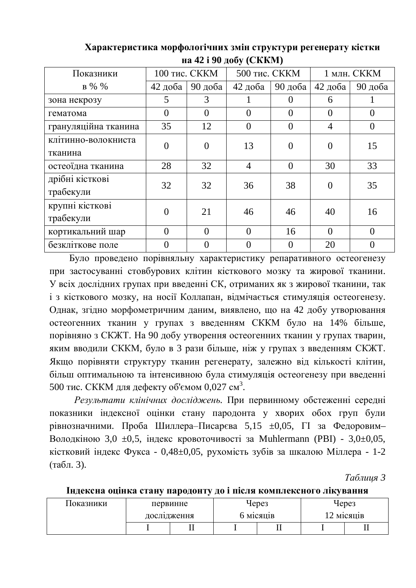| Показники            | 100 тис. СККМ |                | $\cdots$ $\cdots$ $\cdots$ $\alpha$<br>500 тис. СККМ |                | 1 млн. СККМ |                |
|----------------------|---------------|----------------|------------------------------------------------------|----------------|-------------|----------------|
|                      |               |                |                                                      |                |             |                |
| $B\%$ %              | 42 доба       | 90 доба        | 42 доба                                              | 90 доба        | 42 доба     | 90 доба        |
| зона некрозу         | 5             | 3              |                                                      | $\theta$       | 6           |                |
| гематома             | $\theta$      | $\overline{0}$ | $\theta$                                             | $\theta$       | $\theta$    | $\overline{0}$ |
| грануляційна тканина | 35            | 12             | $\theta$                                             | $\overline{0}$ | 4           | $\overline{0}$ |
| клітинно-волокниста  | $\theta$      | $\overline{0}$ | 13                                                   | $\overline{0}$ | $\Omega$    | 15             |
| тканина              |               |                |                                                      |                |             |                |
| остеоїдна тканина    | 28            | 32             | $\overline{4}$                                       | $\theta$       | 30          | 33             |
| дрібні кісткові      | 32            | 32             | 36                                                   | 38             | $\Omega$    | 35             |
| трабекули            |               |                |                                                      |                |             |                |
| крупні кісткові      |               | 21             | 46                                                   | 46             | 40          | 16             |
| трабекули            | $\theta$      |                |                                                      |                |             |                |
| кортикальний шар     | $\theta$      | $\theta$       | $\Omega$                                             | 16             | $\Omega$    | $\theta$       |
| безкліткове поле     | 0             | $\Omega$       | $\Omega$                                             | $\theta$       | 20          | $\theta$       |

**Характеристика морфологічних змін структури регенерату кістки <u><b>(α**γ 42 **i** 90 **<u></u></u></u>**  $\overline{100}$  **(***C***KKM)**</u>

Було проведено порівняльну характеристику репаративного остеогенезу при застосуванні стовбурових клітин кісткового мозку та жирової тканини. У всіх дослідних групах при введенні СК, отриманих як з жирової тканини, так і з кісткового мозку, на носії Коллапан, відмічається стимуляція остеогенезу. Однак, згідно морфометричним даним, виявлено, що на 42 добу утворювання остеогенних тканин у групах з введенням СККМ було на 14% більше, порівняно з СКЖТ. На 90 добу утворення остеогенних тканин у групах тварин, яким вводили СККМ, було в 3 рази більше, ніж у групах з введенням СКЖТ. Якщо порівняти структуру тканин регенерату, залежно від кількості клітин, більш оптимальною та інтенсивною була стимуляція остеогенезу при введенні 500 тис. СККМ для дефекту об'ємом 0,027 см<sup>3</sup>.

Результати клінічних досліджень. При первинному обстеженні середні показники індексної оцінки стану пародонта у хворих обох груп були рівнозначними. Проба Шиллера-Писарєва 5,15  $\pm 0.05$ ,  $\Gamma$ I за Федоровим-Володкіною 3,0  $\pm$ 0,5, індекс кровоточивості за Muhlermann (PBI) - 3,0 $\pm$ 0,05, кістковий індекс Фукса - 0,48±0,05, рухомість зубів за шкалою Міллера - 1-2  $(\text{табл. } 3)$ .

*Ɍɚɛɥɢɰɹ 3*

| Показники | первинне    |    | Через |           | Через      |    |
|-----------|-------------|----|-------|-----------|------------|----|
|           | дослідження |    |       | 6 місяців | 12 місяців |    |
|           |             | ┻┻ |       | ᅭ         |            | 11 |

Індексна оцінка стану пародонту до і після комплексного лікування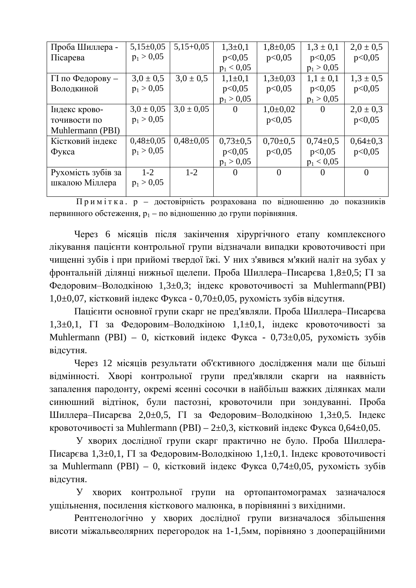| Проба Шиллера -    | $5,15\pm0.05$  | $5,15+0,05$    | $1,3+0,1$    | $1,8+0,05$   | $1,3 \pm 0,1$ | $2,0 \pm 0.5$ |
|--------------------|----------------|----------------|--------------|--------------|---------------|---------------|
| Пісарева           | $p_1 > 0.05$   |                | p<0,05       | p<0.05       | p<0,05        | p<0,05        |
|                    |                |                | $p_1 < 0.05$ |              | $p_1 > 0.05$  |               |
| П по Федорову -    | $3,0 \pm 0.5$  | $3.0 \pm 0.5$  | $1,1\pm 0,1$ | $1,3+0,03$   | $1,1 \pm 0,1$ | $1,3 \pm 0,5$ |
| Володкиной         | $p_1 > 0.05$   |                | p<0,05       | p<0,05       | p<0,05        | p<0,05        |
|                    |                |                | $p_1 > 0.05$ |              | $p_1 > 0.05$  |               |
| Індекс крово-      | $3.0 \pm 0.05$ | $3.0 \pm 0.05$ | $\theta$     | $1,0+0,02$   | $\theta$      | $2,0 \pm 0,3$ |
| точивости по       | $p_1 > 0.05$   |                |              | p<0.05       |               | p<0,05        |
| Muhlermann (PBI)   |                |                |              |              |               |               |
| Кістковий індекс   | $0,48\pm0,05$  | $0,48\pm0,05$  | $0,73\pm0.5$ | $0,70\pm0,5$ | $0,74\pm0.5$  | $0,64\pm0.3$  |
| Фукса              | $p_1 > 0.05$   |                | p<0.05       | p<0,05       | p<0,05        | p<0,05        |
|                    |                |                | $p_1 > 0.05$ |              | $p_1 < 0.05$  |               |
| Рухомість зубів за | $1 - 2$        | $1-2$          | $\theta$     | $\theta$     | $\theta$      | $\theta$      |
| шкалою Міллера     | $p_1 > 0.05$   |                |              |              |               |               |
|                    |                |                |              |              |               |               |

Примітка. р – достовірність розрахована по відношенню до показників первинного обстеження,  $p_1 -$  по відношенню до групи порівняння.

Через 6 місяців після закінчення хірургічного етапу комплексного лікування пацієнти контрольної групи відзначали випадки кровоточивості при чищенні зубів і при прийомі твердої їжі. У них з'явився м'який наліт на зубах у фронтальній ділянці нижньої щелепи. Проба Шиллера-Писарєва 1,8±0,5; ГІ за Федоровим-Володкіною 1,3 $\pm$ 0,3; індекс кровоточивості за Muhlermann(PBI) 1,0 $\pm$ 0,07, кістковий індекс Фукса - 0,70 $\pm$ 0,05, рухомість зубів відсутня.

Пацієнти основної групи скарг не пред'являли. Проба Шиллера–Писарєва 1,3 $\pm$ 0,1,  $\Gamma$  за Федоровим–Володкіною 1,1 $\pm$ 0,1, індекс кровоточивості за Muhlermann (PBI) – 0, кістковий індекс Фукса - 0,73 $\pm$ 0,05, рухомість зубів відсутня.

Через 12 місяців результати об'єктивного дослідження мали ще більші відмінності. Хворі контрольної групи пред'являли скарги на наявність запалення пародонту, окремі ясенні сосочки в найбільш важких ділянках мали синюшний відтінок, були пастозні, кровоточили при зондуванні. Проба Шиллера-Писарєва 2,0±0,5, ГІ за Федоровим-Володкіною 1,3±0,5. Індекс кровоточивості за Muhlermann (PBI) –  $2\pm 0.3$ , кістковий індекс Фукса 0,64 $\pm 0.05$ .

У хворих дослідної групи скарг практично не було. Проба Шиллера-Писарєва 1,3±0,1, ГІ за Федоровим-Володкіною 1,1±0,1. Індекс кровоточивості за Muhlermann (PBI) – 0, кістковий індекс Фукса 0,74 $\pm$ 0,05, рухомість зубів відсутня.

У хворих контрольної групи на ортопантомограмах зазначалося ущільнення, посилення кісткового малюнка, в порівнянні з вихідними.

Рентгенологічно у хворих дослідної групи визначалося збільшення висоти міжальвеолярних перегородок на 1-1,5мм, порівняно з доопераційними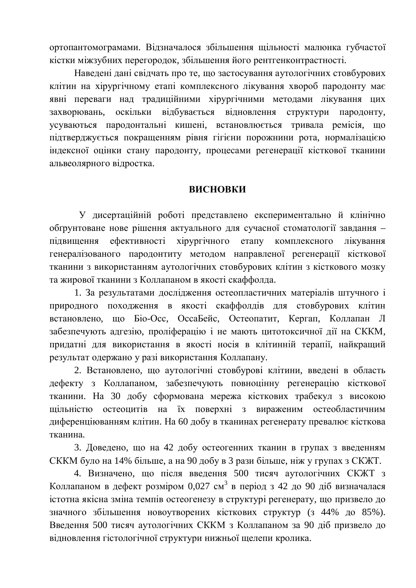ортопантомограмами. Відзначалося збільшення щільності малюнка губчастої кістки міжзубних перегородок, збільшення його рентгенконтрастності.

Наведені дані свідчать про те, що застосування аутологічних стовбурових клітин на хірургічному етапі комплексного лікування хвороб пародонту має явні переваги над традиційними хірургічними методами лікування цих захворювань, оскільки відбувається відновлення структури пародонту, усуваються пародонтальні кишені, встановлюється тривала ремісія, що підтверджується покращенням рівня гігієни порожнини рота, нормалізацією індексної оцінки стану пародонту, процесами регенерації кісткової тканини альвеолярного відростка.

#### **ВИСНОВКИ**

У дисертаційній роботі представлено експериментально й клінічно обґрунтоване нове рішення актуального для сучасної стоматології завдання підвищення ефективності хірургічного етапу комплексного лікування генералізованого пародонтиту методом направленої регенерації кісткової тканини з використанням аутологічних стовбурових клітин з кісткового мозку та жирової тканини з Коллапаном в якості скаффолла.

1. За результатами дослідження остеопластичних матеріалів штучного і природного походження в якості скаффолдів для стовбурових клітин встановлено, що Біо-Осс, ОссаБейс, Остеопатит, Кергап, Коллапан Л забезпечують адгезію, проліферацію і не мають цитотоксичної дії на СККМ, придатні для використання в якості носія в клітинній терапії, найкращий результат одержано у разі використання Коллапану.

2. Встановлено, що аутологічні стовбурові клітини, введені в область дефекту з Коллапаном, забезпечують повноцінну регенерацію кісткової тканини. На 30 добу сформована мережа кісткових трабекул з високою щільністю остеоцитів на їх поверхні з вираженим остеобластичним диференціюванням клітин. На 60 добу в тканинах регенерату превалює кісткова тканина.

3. Доведено, що на 42 добу остеогенних тканин в групах з введенням СККМ було на 14% більше, а на 90 добу в 3 рази більше, ніж у групах з СКЖТ.

4. Визначено, що після введення 500 тисяч аутологічних СКЖТ з Коллапаном в дефект розміром 0,027 см<sup>3</sup> в період з 42 до 90 діб визначалася істотна якісна зміна темпів остеогенезу в структурі регенерату, що призвело до значного збільшення новоутворених кісткових структур (з 44% до 85%). Введення 500 тисяч аутологічних СККМ з Коллапаном за 90 діб призвело до відновлення гістологічної структури нижньої щелепи кролика.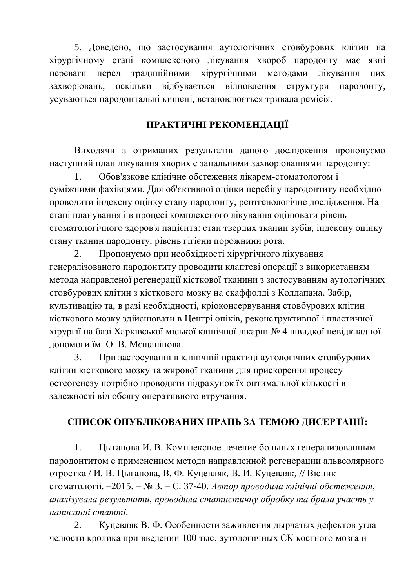5. Доведено, що застосування аутологічних стовбурових клітин на хірургічному етапі комплексного лікування хвороб пародонту має явні переваги перед традиційними хірургічними методами лікування цих захворювань, оскільки відбувається відновлення структури пародонту, усуваються пародонтальні кишені, встановлюється тривала ремісія.

## ПРАКТИЧНІ РЕКОМЕНДАЦІЇ

Виходячи з отриманих результатів даного дослідження пропонуємо наступний план лікування хворих с запальними захворюваннями пародонту:

1. Обов'язкове клінічне обстеження лікарем-стоматологом і суміжними фахівцями. Для об'єктивної оцінки перебігу пародонтиту необхідно проводити індексну оцінку стану пародонту, рентгенологічне дослідження. На етапі планування і в процесі комплексного лікування оцінювати рівень стоматологічного здоров'я пацієнта: стан твердих тканин зубів, індексну оцінку стану тканин пародонту, рівень гігієни порожнини рота.

2. Пропонуємо при необхідності хірургічного лікування генералізованого пародонтиту проводити клаптеві операції з використанням метола направленої регенерації кісткової тканини з застосуванням аутологічних стовбурових клітин з кісткового мозку на скаффолді з Коллапана. Забір, культивацію та, в разі необхідності, кріоконсервування стовбурових клітин кісткового мозку здійснювати в Центрі опіків, реконструктивної і пластичної хірургії на базі Харківської міської клінічної лікарні № 4 швидкої невідкладної допомоги їм. О. В. Мєшанінова.

3. При застосуванні в клінічній практиці аутологічних стовбурових клітин кісткового мозку та жирової тканини для прискорення процесу остеогенезу потрібно проводити підрахунок їх оптимальної кількості в залежності від обсягу оперативного втручання.

# СПИСОК ОПУБЛІКОВАНИХ ПРАЦЬ ЗА ТЕМОЮ ДИСЕРТАЦІЇ:

1. Цыганова И. В. Комплексное лечение больных генерализованным пародонтитом с применением метода направленной регенерации альвеолярного отростка / И. В. Цыганова, В. Ф. Куцевляк, В. И. Куцевляк, // Вісник стоматологіі. –2015. – № 3. – С. 37-40. Автор проводила клінічні обстеження, *ɚɧɚɥɿɡɭɜɚɥɚɪɟɡɭɥɶɬɚɬɢ, ɩɪɨɜɨɞɢɥɚɫɬɚɬɢɫɬɢɱɧɭɨɛɪɨɛɤɭɬɚɛɪɚɥɚɭɱɚɫɬɶɭ ɧɚɩɢɫɚɧɧɿɫɬɚɬɬɿ.*

2. Куцевляк В. Ф. Особенности заживления дырчатых дефектов угла челюсти кролика при введении 100 тыс. аутологичных СК костного мозга и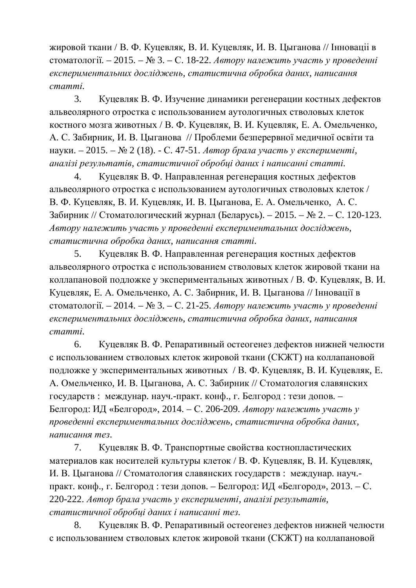жировой ткани / В. Ф. Куцевляк, В. И. Куцевляк, И. В. Цыганова // Інновації в стоматології. – 2015. – № 3. – С. 18-22. Автору належить участь у проведенні  $\epsilon$ кспериментальних досліджень, статистична обробка даних, написання  $c$ *mammi*.

3. Куцевляк В. Ф. Изучение динамики регенерации костных дефектов альвеолярного отростка с использованием аутологичных стволовых клеток костного мозга животных / В. Ф. Куцевляк, В. И. Куцевляк, Е. А. Омельченко, А. С. Забирник, И. В. Цыганова // Проблеми безперервної медичної освіти та науки. – 2015. – № 2 (18). - С. 47-51. *Автор брала участь у експерименті*, *ɚɧɚɥɿɡɿɪɟɡɭɥɶɬɚɬɿɜ, ɫɬɚɬɢɫɬɢɱɧɨʀɨɛɪɨɛɰɿɞɚɧɢɯɿɧɚɩɢɫɚɧɧɿɫɬɚɬɬɿ.*

4. Куцевляк В. Ф. Направленная регенерация костных дефектов альвеолярного отростка с использованием аутологичных стволовых клеток / В. Ф. Куцевляк, В. И. Куцевляк, И. В. Цыганова, Е. А. Омельченко, А. С. Забирник // Стоматологический журнал (Беларусь). – 2015. –  $\mathcal{N}_2$ . – С. 120-123. *Ⱥɜɬɨɪɭɧɚɥɟɠɢɬɶɭɱɚɫɬɶɭɩɪɨɜɟɞɟɧɧɿɟɤɫɩɟɪɢɦɟɧɬɚɥɶɧɢɯɞɨɫɥɿɞɠɟɧɶ,*  $c$ *mamистична обробка даних, написання статті.* 

5. Куцевляк В. Ф. Направленная регенерация костных дефектов альвеолярного отростка с использованием стволовых клеток жировой ткани на коллапановой подложке у экспериментальных животных / В. Ф. Куцевляк. В. И. Куцевляк, Е. А. Омельченко, А. С. Забирник, И. В. Цыганова // Інновації в стоматології. – 2014. – № 3. – С. 21-25. Автору належить участь у проведенні  $\alpha$ *вкспериментальних досліджень, статистична обробка даних, написання*  $c$ *mammi*.

6. Куцевляк В. Ф. Репаративный остеогенез дефектов нижней челюсти с использованием стволовых клеток жировой ткани (СКЖТ) на коллапановой подложке у экспериментальных животных / В. Ф. Куцевляк, В. И. Куцевляк, Е. А. Омельченко, И. В. Цыганова, А. С. Забирник // Стоматология славянских государств: междунар. науч.-практ. конф., г. Белгород: тези допов. – Белгород: ИД «Белгород», 2014. – С. 206-209. *Автору належить участь у* проведенні експериментальних досліджень, статистична обробка даних, *ɧɚɩɢɫɚɧɧɹɬɟɡ.*

7. Куцевляк В. Ф. Транспортные свойства костнопластических материалов как носителей культуры клеток / В. Ф. Куцевляк, В. И. Куцевляк, И. В. Цыганова // Стоматология славянских государств: междунар. науч.практ. конф., г. Белгород: тези допов. – Белгород: ИД «Белгород», 2013. – С. 220-222. Автор брала участь у експерименті, аналізі результатів, *cmamucmuчної обробці даних і написанні тез.* 

8. Куцевляк В. Ф. Репаративный остеогенез дефектов нижней челюсти с использованием стволовых клеток жировой ткани (СКЖТ) на коллапановой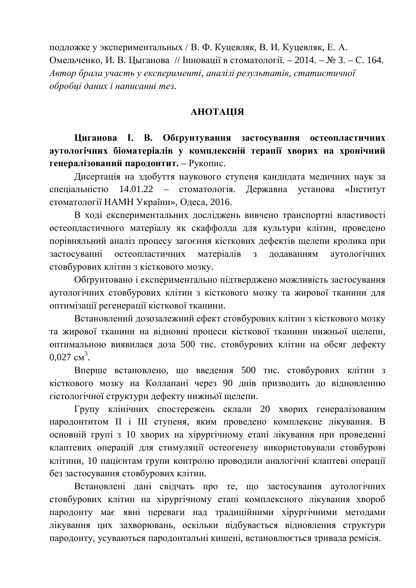подложке у экспериментальных / В. Ф. Куцевляк, В. И. Куцевляк, Е. А. Омельченко, И. В. Цыганова // Інновації в стоматології. – 2014. – № 3. – С. 164. *Ⱥɜɬɨɪɛɪɚɥɚɭɱɚɫɬɶɭɟɤɫɩɟɪɢɦɟɧɬɿ, ɚɧɚɥɿɡɿɪɟɡɭɥɶɬɚɬɿɜ, ɫɬɚɬɢɫɬɢɱɧɨʀ*  $\overline{1}$ *обробці даних і написанні тез.* 

### *<u>АНОТАЦІЯ</u>*

**Шиганова І. В. Обтрунтування застосування остеопластичних аутологічних біоматеріалів у комплексній терапії хворих на хронічний** генералізований пародонтит. – Рукопис.

Дисертація на здобуття наукового ступеня кандидата медичних наук за спеціальністю 14.01.22 – стоматологія. Державна установа «Інститут стоматології НАМН України», Одеса, 2016.

В ході експериментальних досліджень вивчено транспортні властивості остеопластичного матеріалу як скаффолда для культури клітин, проведено порівняльний аналіз процесу загоєння кісткових дефектів щелепи кролика при застосуванні остеопластичних матеріалів з додаванням аутологічних стовбурових клітин з кісткового мозку.

Обґрунтовано і експериментально пілтверлжено можливість застосування аутологічних стовбурових клітин з кісткового мозку та жирової тканини для оптимізації регенерації кісткової тканини.

Встановлений дозозалежний ефект стовбурових клітин з кісткового мозку та жирової тканини на відновні процеси кісткової тканини нижньої щелепи, оптимальною виявилася доза 500 тис. стовбурових клітин на обсяг дефекту  $0,027 \text{ cm}^3$ .

Вперше встановлено, що введення 500 тис. стовбурових клітин з кісткового мозку на Коллапані через 90 днів призводить до відновленню гістологічної структури дефекту нижньої щелепи.

Групу клінічних спостережень склали 20 хворих генералізованим пародонтитом II і III ступеня, яким проведено комплексне лікування. В основній групі з 10 хворих на хірургічному етапі лікування при проведенні клаптевих операцій для стимуляції остеогенезу використовували стовбурові клітини, 10 пацієнтам групи контролю проводили аналогічні клаптеві операції без застосування стовбурових клітин.

Встановлені дані свідчать про те, що застосування аутологічних стовбурових клітин на хірургічному етапі комплексного лікування хвороб пародонту має явні переваги над традиційними хірургічними методами лікування цих захворювань, оскільки відбувається відновлення структури пародонту, усуваються пародонтальні кишені, встановлюється тривала ремісія.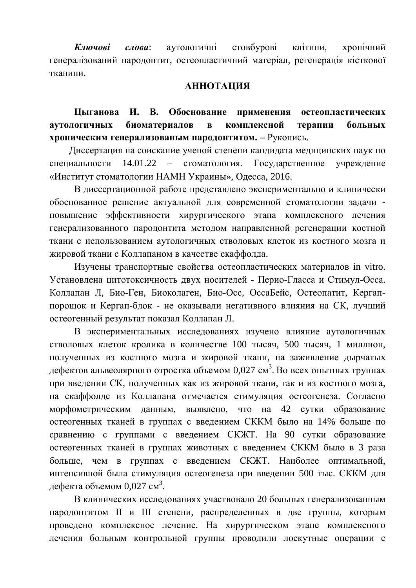Ключові слова: аутологичні стовбурові клітини, хронічний генералізований пародонтит, остеопластичний матеріал, регенерація кісткової тканини.

#### **АННОТАЦИЯ**

**Шыганова И. В. Обоснование применения остеопластических** аутологичных биоматериалов в комплексной терапии больных **хроническим генерализованым пародонтитом.** – Рукопись.

Диссертация на соискание ученой степени кандилата медицинских наук по специальности 14.01.22 – стоматология. Государственное учреждение «Институт стоматологии НАМН Украины», Одесса, 2016.

В диссертационной работе представлено экспериментально и клинически обоснованное решение актуальной для современной стоматологии задачи повышение эффективности хирургического этапа комплексного лечения генерализованного пародонтита методом направленной регенерации костной ткани с использованием аутологичных стволовых клеток из костного мозга и жировой ткани с Коллапаном в качестве скаффолда.

Изучены транспортные свойства остеопластических материалов in vitro. Установлена цитотоксичность двух носителей - Перио-Гласса и Стимул-Осса. Коллапан Л, Био-Ген, Биоколаген, Био-Осс, ОссаБейс, Остеопатит, Кергаппорошок и Кергап-блок - не оказывали негативного влияния на СК, лучший остеогенный результат показал Коллапан Л.

В экспериментальных исследованиях изучено влияние аутологичных стволовых клеток кролика в количестве 100 тысяч, 500 тысяч, 1 миллион, полученных из костного мозга и жировой ткани, на заживление дырчатых дефектов альвеолярного отростка объемом 0,027 см<sup>3</sup>. Во всех опытных группах при введении СК, полученных как из жировой ткани, так и из костного мозга, на скаффолде из Коллапана отмечается стимуляция остеогенеза. Согласно морфометрическим данным, выявлено, что на 42 сутки образование остеогенных тканей в группах с введением СККМ было на 14% больше по сравнению с группами с введением СКЖТ. На 90 сутки образование остеогенных тканей в группах животных с введением СККМ было в 3 раза больше, чем в группах с введением СКЖТ. Наиболее оптимальной, интенсивной была стимуляция остеогенеза при введении 500 тыс. СККМ для дефекта объемом 0,027 см $^3$ .

В клинических исследованиях участвовало 20 больных генерализованным пародонтитом II и III степени, распределенных в две группы, которым проведено комплексное лечение. На хирургическом этапе комплексного лечения больным контрольной группы проводили лоскутные операции с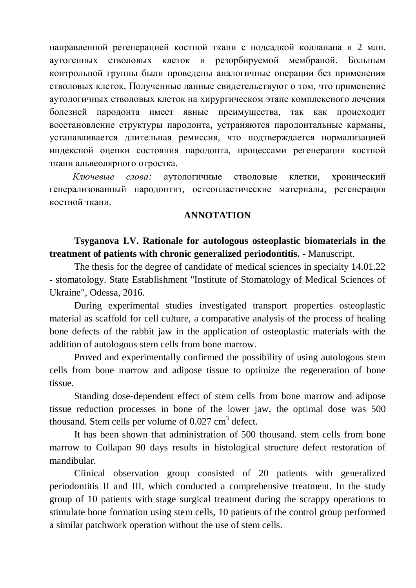направленной регенерацией костной ткани с подсадкой коллапана и 2 млн. аутогенных стволовых клеток и резорбируемой мембраной. Больным контрольной группы были провелены аналогичные операции без применения стволовых клеток. Полученные данные свидетельствуют о том, что применение аутологичных стволовых клеток на хирургическом этапе комплексного лечения болезней пародонта имеет явные преимущества, так как происходит восстановление структуры пародонта, устраняются пародонтальные карманы, устанавливается длительная ремиссия, что подтверждается нормализацией индексной оценки состояния пародонта, процессами регенерации костной ткани альвеолярного отростка.

Ключевые слова: аутологичные стволовые клетки, хронический генерализованный пародонтит, остеопластические материалы, регенерация костной ткани.

#### **ANNOTATION**

### **Tsyganova I.V. Rationale for autologous osteoplastic biomaterials in the treatment of patients with chronic generalized periodontitis. -** Manuscript.

The thesis for the degree of candidate of medical sciences in specialty 14.01.22 - stomatology. State Establishment "Institute of Stomatology of Medical Sciences of Ukraine", Odessa, 2016.

During experimental studies investigated transport properties osteoplastic material as scaffold for cell culture, a comparative analysis of the process of healing bone defects of the rabbit jaw in the application of osteoplastic materials with the addition of autologous stem cells from bone marrow.

Proved and experimentally confirmed the possibility of using autologous stem cells from bone marrow and adipose tissue to optimize the regeneration of bone tissue.

Standing dose-dependent effect of stem cells from bone marrow and adipose tissue reduction processes in bone of the lower jaw, the optimal dose was 500 thousand. Stem cells per volume of  $0.027 \text{ cm}^3$  defect.

It has been shown that administration of 500 thousand. stem cells from bone marrow to Collapan 90 days results in histological structure defect restoration of mandibular.

Clinical observation group consisted of 20 patients with generalized periodontitis II and III, which conducted a comprehensive treatment. In the study group of 10 patients with stage surgical treatment during the scrappy operations to stimulate bone formation using stem cells, 10 patients of the control group performed a similar patchwork operation without the use of stem cells.